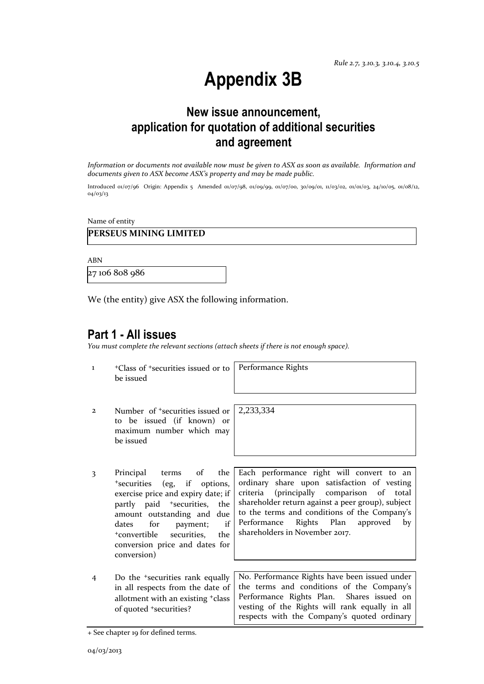# **Appendix 3B**

### **New issue announcement, application for quotation of additional securities and agreement**

*Information or documents not available now must be given to ASX as soon as available. Information and documents given to ASX become ASX's property and may be made public.*

Introduced 01/07/96 Origin: Appendix 5 Amended 01/07/98, 01/09/99, 01/07/00, 30/09/01, 11/03/02, 01/01/03, 24/10/05, 01/08/12, 04/03/13

Name of entity

### **PERSEUS MINING LIMITED**

ABN

27 106 808 986

We (the entity) give ASX the following information.

### **Part 1 - All issues**

*You must complete the relevant sections (attach sheets if there is not enough space).*

1 <sup>+</sup>Class of +securities issued or to be issued

Performance Rights

2,233,334

- 2 Number of +securities issued or to be issued (if known) or maximum number which may be issued
- 3 Principal terms of the <sup>+</sup>securities (eg, if options, exercise price and expiry date; if partly paid <sup>+</sup>securities, the amount outstanding and due dates for payment; if <sup>+</sup>convertible securities, the conversion price and dates for conversion)
- Each performance right will convert to an ordinary share upon satisfaction of vesting criteria (principally comparison of total shareholder return against a peer group), subject to the terms and conditions of the Company's Performance Rights Plan approved by shareholders in November 2017.
- 4 Do the +securities rank equally in all respects from the date of allotment with an existing +class of quoted +securities? No. Performance Rights have been issued under the terms and conditions of the Company's Performance Rights Plan. Shares issued on vesting of the Rights will rank equally in all respects with the Company's quoted ordinary

<sup>+</sup> See chapter 19 for defined terms.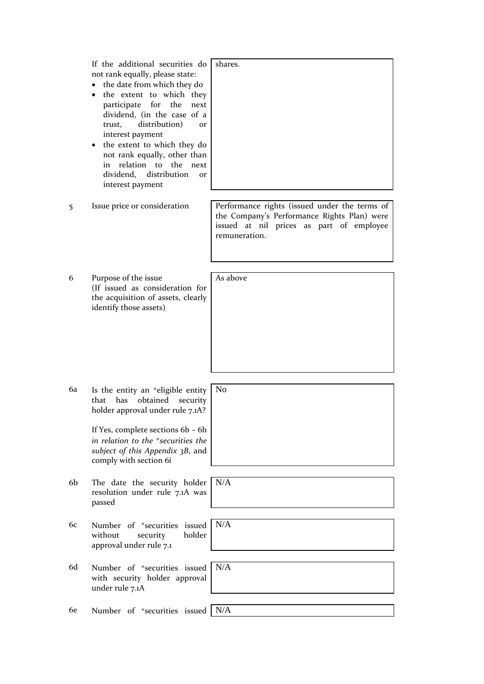|    | If the additional securities do<br>not rank equally, please state:<br>the date from which they do<br>the extent to which they<br>for the<br>participate<br>next<br>dividend, (in the case of a<br>distribution)<br>trust,<br><b>Or</b><br>interest payment<br>the extent to which they do<br>not rank equally, other than<br>relation to the<br>in<br>next<br>dividend,<br>distribution<br>or<br>interest payment | shares.                                                                                                                                                   |
|----|-------------------------------------------------------------------------------------------------------------------------------------------------------------------------------------------------------------------------------------------------------------------------------------------------------------------------------------------------------------------------------------------------------------------|-----------------------------------------------------------------------------------------------------------------------------------------------------------|
| 5  | Issue price or consideration                                                                                                                                                                                                                                                                                                                                                                                      | Performance rights (issued under the terms of<br>the Company's Performance Rights Plan) were<br>issued at nil prices as part of employee<br>remuneration. |
| 6  | Purpose of the issue<br>(If issued as consideration for<br>the acquisition of assets, clearly<br>identify those assets)                                                                                                                                                                                                                                                                                           | As above                                                                                                                                                  |
| 6a | Is the entity an <sup>+</sup> eligible entity<br>obtained<br>that<br>has<br>security<br>holder approval under rule 7.1A?<br>If Yes, complete sections 6b - 6h<br>in relation to the <sup>+</sup> securities the<br>subject of this Appendix 3B, and<br>comply with section 6i                                                                                                                                     | N <sub>o</sub>                                                                                                                                            |
| 6b | The date the security holder<br>resolution under rule 7.1A was<br>passed                                                                                                                                                                                                                                                                                                                                          | N/A                                                                                                                                                       |
| 6c | Number of <sup>+</sup> securities issued<br>holder<br>without<br>security<br>approval under rule 7.1                                                                                                                                                                                                                                                                                                              | N/A                                                                                                                                                       |
| 6d | Number of <sup>+</sup> securities issued<br>with security holder approval<br>under rule 7.1A                                                                                                                                                                                                                                                                                                                      | N/A                                                                                                                                                       |
| 6e | Number of <sup>+</sup> securities issued                                                                                                                                                                                                                                                                                                                                                                          | N/A                                                                                                                                                       |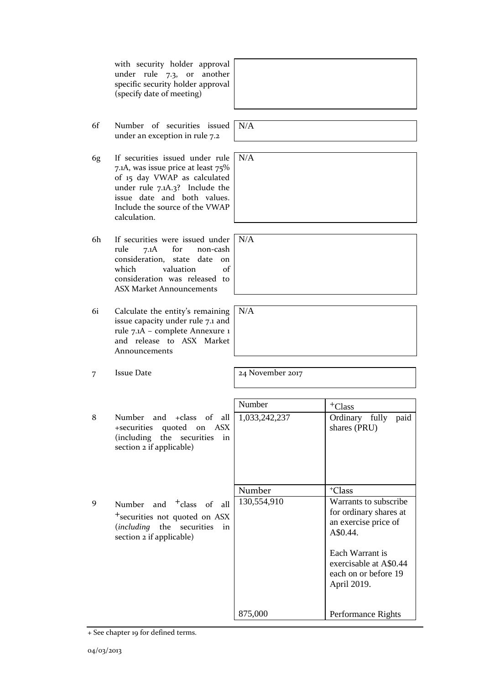with security holder approval under rule 7.3, or another specific security holder approval (specify date of meeting)

- 6f Number of securities issued under an exception in rule 7.2
- 6g If securities issued under rule 7.1A, was issue price at least 75% of 15 day VWAP as calculated under rule 7.1A.3? Include the issue date and both values. Include the source of the VWAP calculation.
- 6h If securities were issued under<br>rule 7.1A for non-cash rule 7.1A for non-cash consideration, state date on which valuation of consideration was released to ASX Market Announcements
- 6i Calculate the entity's remaining issue capacity under rule 7.1 and rule 7.1A – complete Annexure 1 and release to ASX Market Announcements
- 7 Issue Date 2017

Number  $| +<sub>Class</sub>$ 8 Number and +class of all +securities quoted on ASX (including the securities in section 2 if applicable) 1,033,242,237 Ordinary fully paid shares (PRU) Number | +Class 9 Number and <sup>+</sup>class of all +securities not quoted on ASX (*including* the securities in section 2 if applicable) 130,554,910 875,000 Warrants to subscribe for ordinary shares at an exercise price of A\$0.44. Each Warrant is exercisable at A\$0.44 each on or before 19 April 2019. Performance Rights

+ See chapter 19 for defined terms.

N/A

N/A

N/A

N/A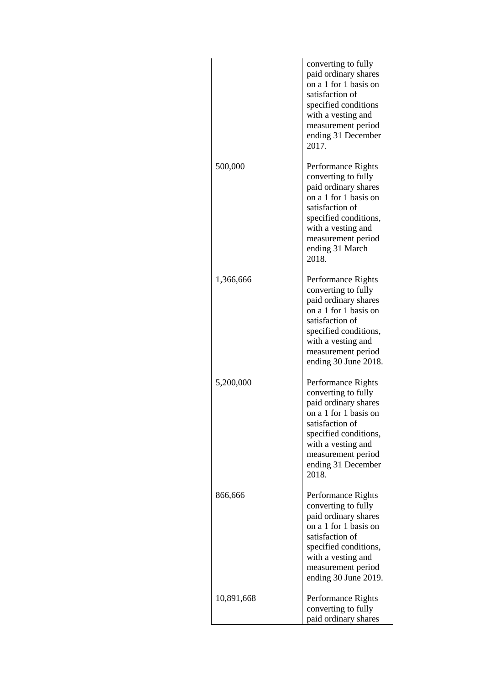|            | converting to fully<br>paid ordinary shares<br>on a 1 for 1 basis on<br>satisfaction of<br>specified conditions<br>with a vesting and<br>measurement period<br>ending 31 December<br>2017.                        |
|------------|-------------------------------------------------------------------------------------------------------------------------------------------------------------------------------------------------------------------|
| 500,000    | Performance Rights<br>converting to fully<br>paid ordinary shares<br>on a 1 for 1 basis on<br>satisfaction of<br>specified conditions,<br>with a vesting and<br>measurement period<br>ending 31 March<br>2018.    |
| 1,366,666  | Performance Rights<br>converting to fully<br>paid ordinary shares<br>on a 1 for 1 basis on<br>satisfaction of<br>specified conditions,<br>with a vesting and<br>measurement period<br>ending 30 June 2018.        |
| 5,200,000  | Performance Rights<br>converting to fully<br>paid ordinary shares<br>on a 1 for 1 basis on<br>satisfaction of<br>specified conditions,<br>with a vesting and<br>measurement period<br>ending 31 December<br>2018. |
| 866,666    | Performance Rights<br>converting to fully<br>paid ordinary shares<br>on a 1 for 1 basis on<br>satisfaction of<br>specified conditions,<br>with a vesting and<br>measurement period<br>ending 30 June 2019.        |
| 10,891,668 | Performance Rights<br>converting to fully<br>paid ordinary shares                                                                                                                                                 |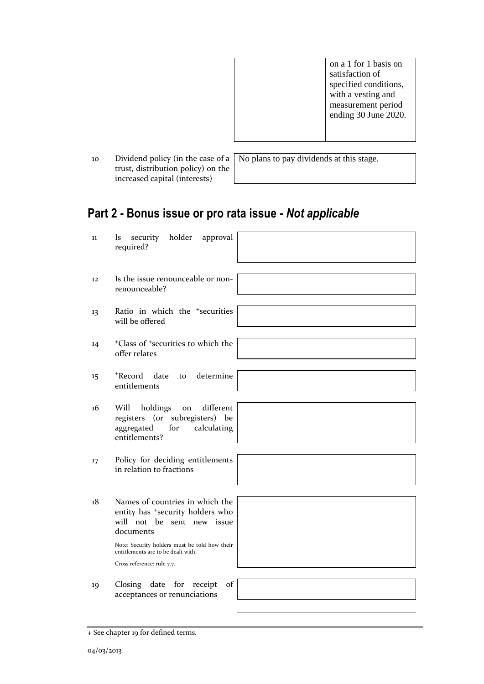on a 1 for 1 basis on satisfaction of specified conditions, with a vesting and measurement period ending 30 June 2020.

10 Dividend policy (in the case of a trust, distribution policy) on the increased capital (interests)

No plans to pay dividends at this stage.

## **Part 2 - Bonus issue or pro rata issue -** *Not applicable*

| 11                | holder<br>security<br>approval<br>Is.<br>required?                                                                                                                                                                |
|-------------------|-------------------------------------------------------------------------------------------------------------------------------------------------------------------------------------------------------------------|
| $12 \overline{ }$ | Is the issue renounceable or non-<br>renounceable?                                                                                                                                                                |
| 13                | Ratio in which the <sup>+</sup> securities<br>will be offered                                                                                                                                                     |
| 14                | <sup>+</sup> Class of <sup>+</sup> securities to which the<br>offer relates                                                                                                                                       |
| $15 \,$           | +Record date<br>determine<br>to<br>entitlements                                                                                                                                                                   |
| 16                | different<br>Will<br>holdings<br>on<br>registers (or subregisters) be<br>aggregated<br>calculating<br>for<br>entitlements?                                                                                        |
| 17                | Policy for deciding entitlements<br>in relation to fractions                                                                                                                                                      |
| 18                | Names of countries in which the<br>entity has <sup>+</sup> security holders who<br>will not be sent new issue<br>documents<br>Note: Security holders must be told how their<br>entitlements are to be dealt with. |
|                   | Cross reference: rule 7.7.                                                                                                                                                                                        |
| 19                | date for receipt<br>of<br>Closing<br>acceptances or renunciations                                                                                                                                                 |

<sup>+</sup> See chapter 19 for defined terms.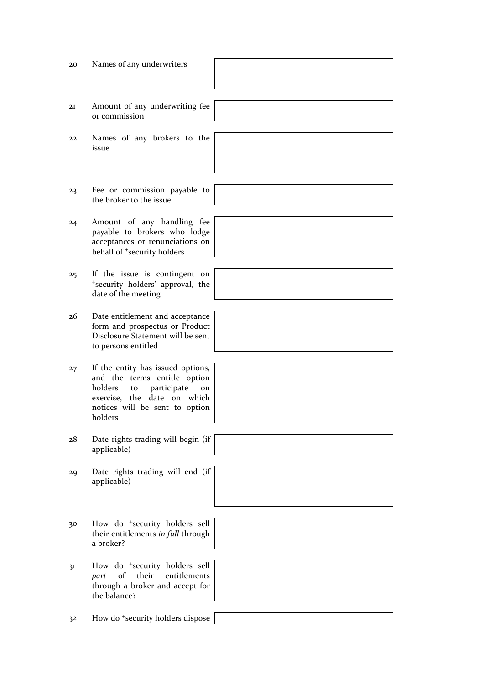| 20             | Names of any underwriters                                                                                                                                                           |  |
|----------------|-------------------------------------------------------------------------------------------------------------------------------------------------------------------------------------|--|
| 21             | Amount of any underwriting fee<br>or commission                                                                                                                                     |  |
| 22             | Names of any brokers to the<br>issue                                                                                                                                                |  |
| 23             | Fee or commission payable to<br>the broker to the issue                                                                                                                             |  |
| 24             | Amount of any handling fee<br>payable to brokers who lodge<br>acceptances or renunciations on<br>behalf of <sup>+</sup> security holders                                            |  |
| 25             | If the issue is contingent on<br>*security holders' approval, the<br>date of the meeting                                                                                            |  |
| 26             | Date entitlement and acceptance<br>form and prospectus or Product<br>Disclosure Statement will be sent<br>to persons entitled                                                       |  |
| 27             | If the entity has issued options,<br>and the terms entitle option<br>holders<br>participate<br>to<br>on<br>exercise, the date on which<br>notices will be sent to option<br>holders |  |
| 28             | Date rights trading will begin (if<br>applicable)                                                                                                                                   |  |
| 29             | Date rights trading will end (if<br>applicable)                                                                                                                                     |  |
| 30             | How do <sup>+</sup> security holders sell<br>their entitlements in full through<br>a broker?                                                                                        |  |
| 31             | How do <sup>+</sup> security holders sell<br>of<br>their<br>entitlements<br>part<br>through a broker and accept for<br>the balance?                                                 |  |
| 3 <sup>2</sup> | How do <sup>+</sup> security holders dispose                                                                                                                                        |  |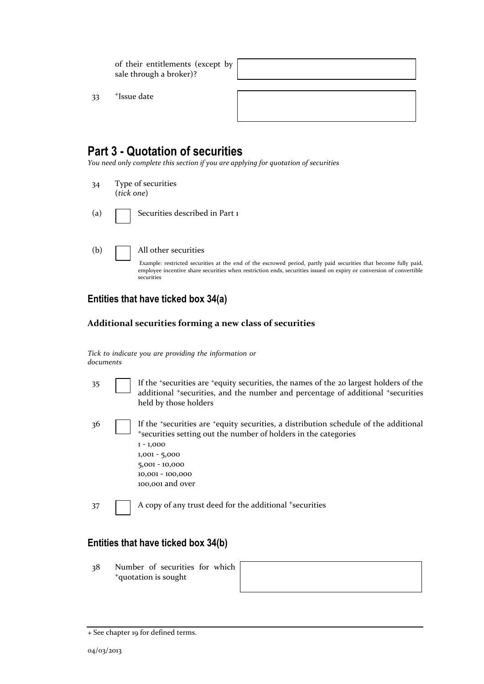of their entitlements (except by sale through a broker)?

33 <sup>+</sup>Issue date

### **Part 3 - Quotation of securities**

*You need only complete this section if you are applying for quotation of securities*

34 Type of securities (*tick one*)

(a) **Securities described in Part 1** 

(b) All other securities

Example: restricted securities at the end of the escrowed period, partly paid securities that become fully paid, employee incentive share securities when restriction ends, securities issued on expiry or conversion of convertible securities

### **Entities that have ticked box 34(a)**

#### **Additional securities forming a new class of securities**

|           |  |  | Tick to indicate you are providing the information or |  |
|-----------|--|--|-------------------------------------------------------|--|
| documents |  |  |                                                       |  |

- 35 If the <sup>+</sup>securities are <sup>+</sup>equity securities, the names of the 20 largest holders of the additional <sup>+</sup>securities, and the number and percentage of additional <sup>+</sup>securities held by those holders
- 36 If the <sup>+</sup>securities are <sup>+</sup>equity securities, a distribution schedule of the additional <sup>+</sup>securities setting out the number of holders in the categories 1 - 1,000 1,001 - 5,000

| $5,001 - 10,000$ |
|------------------|
| 10,001 - 100,000 |
| 100,001 and over |

37 A copy of any trust deed for the additional +securities

### **Entities that have ticked box 34(b)**

38 Number of securities for which <sup>+</sup>quotation is sought

| <u> 1989 - Andrea Santa Andrea Andrea Andrea Andrea Andrea Andrea Andrea Andrea Andrea Andrea Andrea Andrea Andr</u> |  |  |
|----------------------------------------------------------------------------------------------------------------------|--|--|
|                                                                                                                      |  |  |
|                                                                                                                      |  |  |
|                                                                                                                      |  |  |
|                                                                                                                      |  |  |

<sup>+</sup> See chapter 19 for defined terms.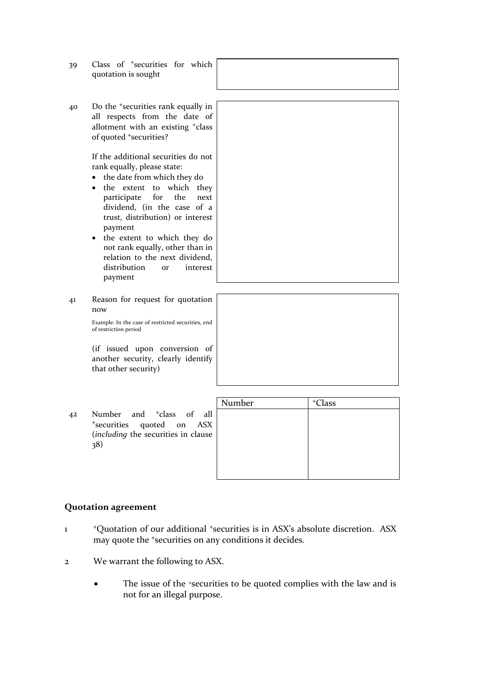- 39 Class of <sup>+</sup>securities for which quotation is sought
- 40 Do the <sup>+</sup>securities rank equally in all respects from the date of allotment with an existing <sup>+</sup>class of quoted <sup>+</sup>securities?

If the additional securities do not rank equally, please state:

- the date from which they do
- the extent to which they participate for the next dividend, (in the case of a trust, distribution) or interest payment
- the extent to which they do not rank equally, other than in relation to the next dividend, distribution or interest payment

41 Reason for request for quotation now

> Example: In the case of restricted securities, end of restriction period

> (if issued upon conversion of another security, clearly identify that other security)

42 Number and <sup>+</sup>class of all <sup>+</sup>securities quoted on ASX (*including* the securities in clause 38)

| Number | <sup>+</sup> Class |
|--------|--------------------|
|        |                    |
|        |                    |
|        |                    |
|        |                    |
|        |                    |
|        |                    |

#### **Quotation agreement**

- 1 <sup>+</sup>Quotation of our additional <sup>+</sup>securities is in ASX's absolute discretion. ASX may quote the <sup>+</sup>securities on any conditions it decides.
- 2 We warrant the following to ASX.
	- The issue of the +securities to be quoted complies with the law and is not for an illegal purpose.